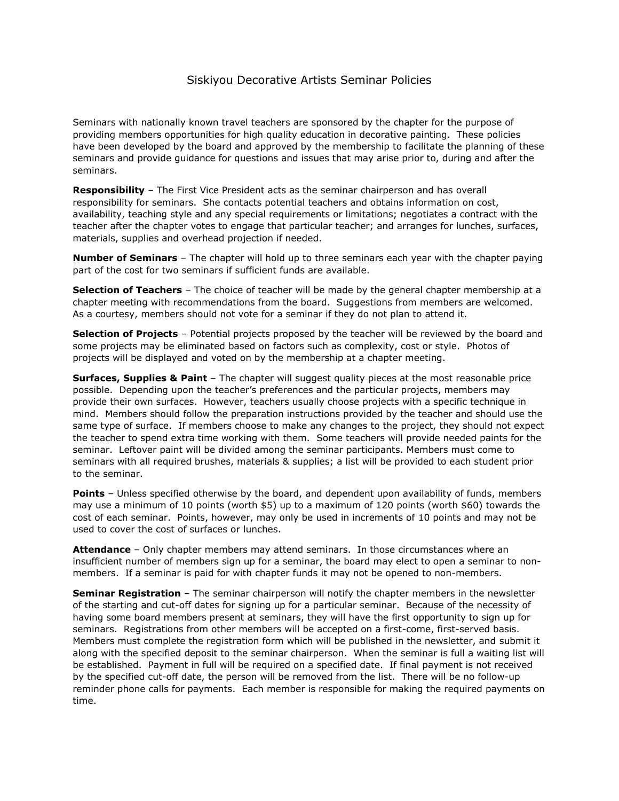## Siskiyou Decorative Artists Seminar Policies

Seminars with nationally known travel teachers are sponsored by the chapter for the purpose of providing members opportunities for high quality education in decorative painting. These policies have been developed by the board and approved by the membership to facilitate the planning of these seminars and provide guidance for questions and issues that may arise prior to, during and after the seminars.

**Responsibility** – The First Vice President acts as the seminar chairperson and has overall responsibility for seminars. She contacts potential teachers and obtains information on cost, availability, teaching style and any special requirements or limitations; negotiates a contract with the teacher after the chapter votes to engage that particular teacher; and arranges for lunches, surfaces, materials, supplies and overhead projection if needed.

**Number of Seminars** – The chapter will hold up to three seminars each year with the chapter paying part of the cost for two seminars if sufficient funds are available.

**Selection of Teachers** – The choice of teacher will be made by the general chapter membership at a chapter meeting with recommendations from the board. Suggestions from members are welcomed. As a courtesy, members should not vote for a seminar if they do not plan to attend it.

**Selection of Projects** – Potential projects proposed by the teacher will be reviewed by the board and some projects may be eliminated based on factors such as complexity, cost or style. Photos of projects will be displayed and voted on by the membership at a chapter meeting.

**Surfaces, Supplies & Paint** – The chapter will suggest quality pieces at the most reasonable price possible. Depending upon the teacher's preferences and the particular projects, members may provide their own surfaces. However, teachers usually choose projects with a specific technique in mind. Members should follow the preparation instructions provided by the teacher and should use the same type of surface. If members choose to make any changes to the project, they should not expect the teacher to spend extra time working with them. Some teachers will provide needed paints for the seminar. Leftover paint will be divided among the seminar participants. Members must come to seminars with all required brushes, materials & supplies; a list will be provided to each student prior to the seminar.

**Points** – Unless specified otherwise by the board, and dependent upon availability of funds, members may use a minimum of 10 points (worth \$5) up to a maximum of 120 points (worth \$60) towards the cost of each seminar. Points, however, may only be used in increments of 10 points and may not be used to cover the cost of surfaces or lunches.

**Attendance** – Only chapter members may attend seminars. In those circumstances where an insufficient number of members sign up for a seminar, the board may elect to open a seminar to nonmembers. If a seminar is paid for with chapter funds it may not be opened to non-members.

**Seminar Registration** – The seminar chairperson will notify the chapter members in the newsletter of the starting and cut-off dates for signing up for a particular seminar. Because of the necessity of having some board members present at seminars, they will have the first opportunity to sign up for seminars. Registrations from other members will be accepted on a first-come, first-served basis. Members must complete the registration form which will be published in the newsletter, and submit it along with the specified deposit to the seminar chairperson. When the seminar is full a waiting list will be established. Payment in full will be required on a specified date. If final payment is not received by the specified cut-off date, the person will be removed from the list. There will be no follow-up reminder phone calls for payments. Each member is responsible for making the required payments on time.